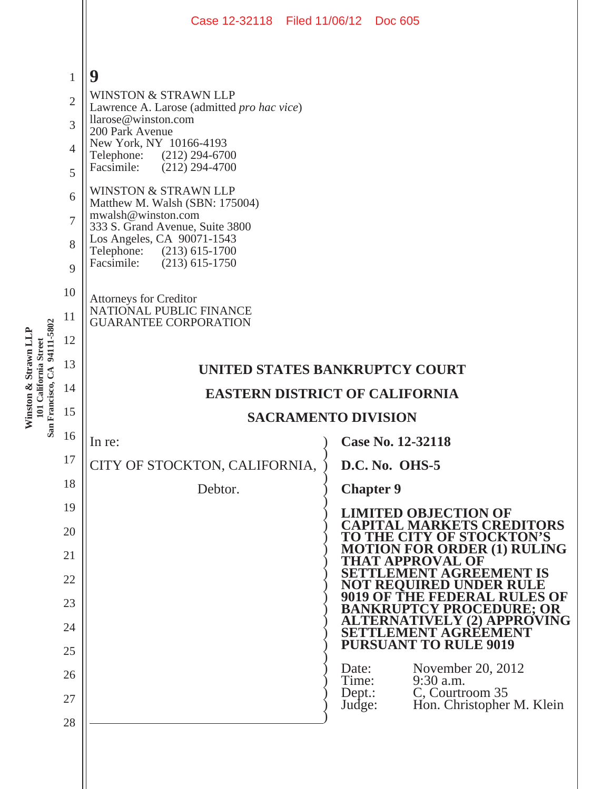|                              |                                                                                | Case 12-32118 Filed 11/06/12 Doc 605                                                                                                                                                                                                                                                                                                                                                                                                              |                    |                                                                                               |  |  |  |  |
|------------------------------|--------------------------------------------------------------------------------|---------------------------------------------------------------------------------------------------------------------------------------------------------------------------------------------------------------------------------------------------------------------------------------------------------------------------------------------------------------------------------------------------------------------------------------------------|--------------------|-----------------------------------------------------------------------------------------------|--|--|--|--|
|                              | $\mathbf{1}$<br>$\overline{2}$<br>3<br>4<br>5<br>6<br>$\overline{7}$<br>8<br>9 | 9<br><b>WINSTON &amp; STRAWN LLP</b><br>Lawrence A. Larose (admitted pro hac vice)<br>llarose@winston.com<br>200 Park Avenue<br>New York, NY 10166-4193<br>Telephone: (212) 294-6700<br>Facsimile:<br>$(212)$ 294-4700<br><b>WINSTON &amp; STRAWN LLP</b><br>Matthew M. Walsh (SBN: 175004)<br>mwalsh@winston.com<br>333 S. Grand Avenue, Suite 3800<br>Los Angeles, CA 90071-1543<br>Telephone: (213) 615-1700<br>Facsimile:<br>$(213)$ 615-1750 |                    |                                                                                               |  |  |  |  |
| San Francisco, CA 94111-5802 | 10<br>11<br>12                                                                 | <b>Attorneys for Creditor</b><br>NATIONAL PUBLIC FINANCE<br><b>GUARANTEE CORPORATION</b>                                                                                                                                                                                                                                                                                                                                                          |                    |                                                                                               |  |  |  |  |
|                              | 13                                                                             | <b>UNITED STATES BANKRUPTCY COURT</b>                                                                                                                                                                                                                                                                                                                                                                                                             |                    |                                                                                               |  |  |  |  |
|                              | 14                                                                             | <b>EASTERN DISTRICT OF CALIFORNIA</b>                                                                                                                                                                                                                                                                                                                                                                                                             |                    |                                                                                               |  |  |  |  |
|                              | 15                                                                             | <b>SACRAMENTO DIVISION</b>                                                                                                                                                                                                                                                                                                                                                                                                                        |                    |                                                                                               |  |  |  |  |
|                              | 16                                                                             | In re:                                                                                                                                                                                                                                                                                                                                                                                                                                            |                    | Case No. 12-32118                                                                             |  |  |  |  |
|                              | 17                                                                             | CITY OF STOCKTON, CALIFORNIA,                                                                                                                                                                                                                                                                                                                                                                                                                     |                    | D.C. No. OHS-5                                                                                |  |  |  |  |
|                              | 18                                                                             | Debtor.                                                                                                                                                                                                                                                                                                                                                                                                                                           |                    | <b>Chapter 9</b>                                                                              |  |  |  |  |
|                              | 19<br>20                                                                       |                                                                                                                                                                                                                                                                                                                                                                                                                                                   |                    | <b>LIMITED OBJECTION OF</b><br><b>CAPITAL MARKETS CREDITORS</b>                               |  |  |  |  |
|                              | 21                                                                             |                                                                                                                                                                                                                                                                                                                                                                                                                                                   |                    | TO THE CITY OF STOCKTON'S<br><b>MOTION FOR ORDER (1) RULING</b>                               |  |  |  |  |
|                              | 22                                                                             |                                                                                                                                                                                                                                                                                                                                                                                                                                                   |                    | <b>THAT APPROVAL OF</b><br>ETTLEMENT AGREEMENT IS                                             |  |  |  |  |
|                              | 23                                                                             |                                                                                                                                                                                                                                                                                                                                                                                                                                                   |                    | NOT REOUIRED UNDER RULE<br><b>9019 OF THE FEDERAL RULES OF</b>                                |  |  |  |  |
|                              | 24                                                                             |                                                                                                                                                                                                                                                                                                                                                                                                                                                   |                    | <b>BANKRUPTCY PROCEDURE; OR</b><br><b>ALTERNATIVELY (2) APPROVING</b><br>SETTLEMENT AGREEMENT |  |  |  |  |
|                              | 25                                                                             |                                                                                                                                                                                                                                                                                                                                                                                                                                                   |                    | <b>PURSUANT TO RULE 9019</b>                                                                  |  |  |  |  |
|                              | 26                                                                             |                                                                                                                                                                                                                                                                                                                                                                                                                                                   | Date:<br>Time:     | November 20, 2012<br>9:30 a.m.                                                                |  |  |  |  |
|                              | 27                                                                             |                                                                                                                                                                                                                                                                                                                                                                                                                                                   | $Dep.$ :<br>Judge: | C, Courtroom 35<br>Hon. Christopher M. Klein                                                  |  |  |  |  |
|                              | 28                                                                             |                                                                                                                                                                                                                                                                                                                                                                                                                                                   |                    |                                                                                               |  |  |  |  |
|                              |                                                                                |                                                                                                                                                                                                                                                                                                                                                                                                                                                   |                    |                                                                                               |  |  |  |  |

Winston & Strawn LLP<br>101 California Street<br>San Francisco. CA 94111-5802 **Winston & Strawn LLP 101 California Street**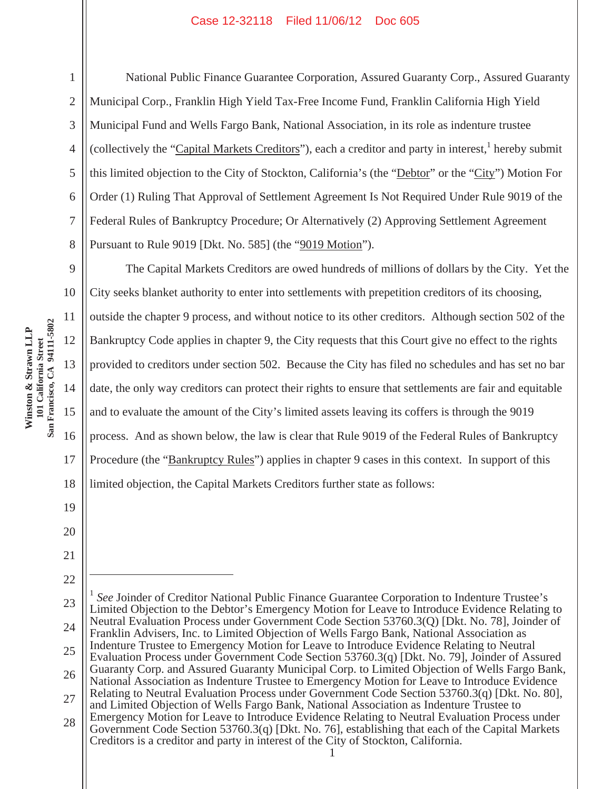1

2

3

4

5

6

7

8

9

10

11

12

13

14

15

16

17

18

19

20

21

22

 $\overline{a}$ 

National Public Finance Guarantee Corporation, Assured Guaranty Corp., Assured Guaranty Municipal Corp., Franklin High Yield Tax-Free Income Fund, Franklin California High Yield Municipal Fund and Wells Fargo Bank, National Association, in its role as indenture trustee (collectively the "Capital Markets Creditors"), each a creditor and party in interest, hereby submit this limited objection to the City of Stockton, California's (the "Debtor" or the "City") Motion For Order (1) Ruling That Approval of Settlement Agreement Is Not Required Under Rule 9019 of the Federal Rules of Bankruptcy Procedure; Or Alternatively (2) Approving Settlement Agreement Pursuant to Rule 9019 [Dkt. No. 585] (the "9019 Motion").

The Capital Markets Creditors are owed hundreds of millions of dollars by the City. Yet the City seeks blanket authority to enter into settlements with prepetition creditors of its choosing, outside the chapter 9 process, and without notice to its other creditors. Although section 502 of the Bankruptcy Code applies in chapter 9, the City requests that this Court give no effect to the rights provided to creditors under section 502. Because the City has filed no schedules and has set no bar date, the only way creditors can protect their rights to ensure that settlements are fair and equitable and to evaluate the amount of the City's limited assets leaving its coffers is through the 9019 process. And as shown below, the law is clear that Rule 9019 of the Federal Rules of Bankruptcy Procedure (the "Bankruptcy Rules") applies in chapter 9 cases in this context. In support of this limited objection, the Capital Markets Creditors further state as follows:

<sup>23</sup> 24 25 26 27 28 <sup>1</sup> *See* Joinder of Creditor National Public Finance Guarantee Corporation to Indenture Trustee's Limited Objection to the Debtor's Emergency Motion for Leave to Introduce Evidence Relating to Neutral Evaluation Process under Government Code Section 53760.3(Q) [Dkt. No. 78], Joinder of Franklin Advisers, Inc. to Limited Objection of Wells Fargo Bank, National Association as Indenture Trustee to Emergency Motion for Leave to Introduce Evidence Relating to Neutral Evaluation Process under Government Code Section 53760.3(q) [Dkt. No. 79], Joinder of Assured Guaranty Corp. and Assured Guaranty Municipal Corp. to Limited Objection of Wells Fargo Bank, National Association as Indenture Trustee to Emergency Motion for Leave to Introduce Evidence Relating to Neutral Evaluation Process under Government Code Section 53760.3(q) [Dkt. No. 80], and Limited Objection of Wells Fargo Bank, National Association as Indenture Trustee to Emergency Motion for Leave to Introduce Evidence Relating to Neutral Evaluation Process under Government Code Section 53760.3(q) [Dkt. No. 76], establishing that each of the Capital Markets Creditors is a creditor and party in interest of the City of Stockton, California.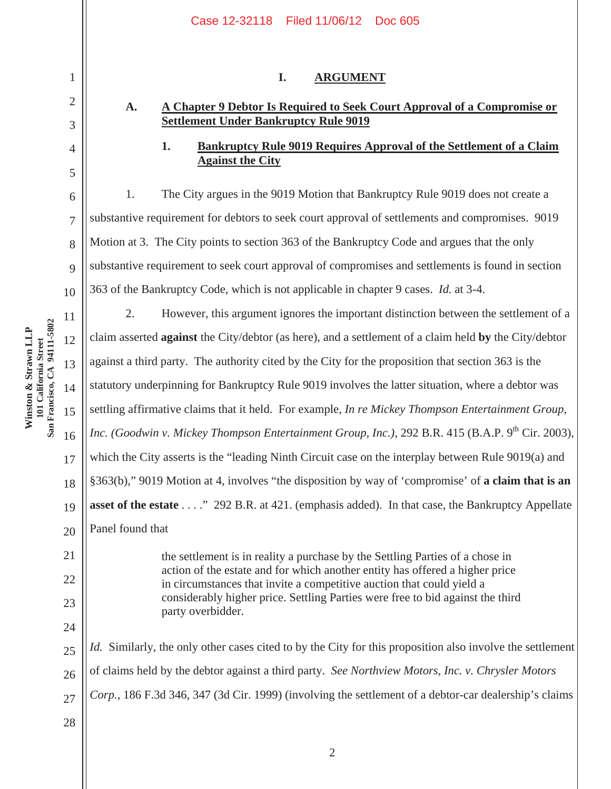|                | Case 12-32118 Filed 11/06/12 Doc 605                                                                                                                                                                                                                         |  |  |  |  |
|----------------|--------------------------------------------------------------------------------------------------------------------------------------------------------------------------------------------------------------------------------------------------------------|--|--|--|--|
| 1              | I.<br><b>ARGUMENT</b>                                                                                                                                                                                                                                        |  |  |  |  |
| $\overline{2}$ | A Chapter 9 Debtor Is Required to Seek Court Approval of a Compromise or<br>A.                                                                                                                                                                               |  |  |  |  |
| 3              | <b>Settlement Under Bankruptcy Rule 9019</b>                                                                                                                                                                                                                 |  |  |  |  |
| 4              | <b>Bankruptcy Rule 9019 Requires Approval of the Settlement of a Claim</b><br>1.<br><b>Against the City</b>                                                                                                                                                  |  |  |  |  |
| 5              |                                                                                                                                                                                                                                                              |  |  |  |  |
| 6              | The City argues in the 9019 Motion that Bankruptcy Rule 9019 does not create a<br>1.                                                                                                                                                                         |  |  |  |  |
| 7              | substantive requirement for debtors to seek court approval of settlements and compromises. 9019                                                                                                                                                              |  |  |  |  |
| 8              | Motion at 3. The City points to section 363 of the Bankruptcy Code and argues that the only                                                                                                                                                                  |  |  |  |  |
| 9              | substantive requirement to seek court approval of compromises and settlements is found in section                                                                                                                                                            |  |  |  |  |
| 10             | 363 of the Bankruptcy Code, which is not applicable in chapter 9 cases. <i>Id.</i> at 3-4.                                                                                                                                                                   |  |  |  |  |
| 11             | 2.<br>However, this argument ignores the important distinction between the settlement of a                                                                                                                                                                   |  |  |  |  |
| 12             | claim asserted against the City/debtor (as here), and a settlement of a claim held by the City/debtor                                                                                                                                                        |  |  |  |  |
| 13             | against a third party. The authority cited by the City for the proposition that section 363 is the                                                                                                                                                           |  |  |  |  |
| 14             | statutory underpinning for Bankruptcy Rule 9019 involves the latter situation, where a debtor was                                                                                                                                                            |  |  |  |  |
| 15             | settling affirmative claims that it held. For example, In re Mickey Thompson Entertainment Group,                                                                                                                                                            |  |  |  |  |
| 16             | Inc. (Goodwin v. Mickey Thompson Entertainment Group, Inc.), 292 B.R. 415 (B.A.P. 9 <sup>th</sup> Cir. 2003),                                                                                                                                                |  |  |  |  |
| 17             | which the City asserts is the "leading Ninth Circuit case on the interplay between Rule 9019(a) and                                                                                                                                                          |  |  |  |  |
| 18             | §363(b)," 9019 Motion at 4, involves "the disposition by way of 'compromise' of a claim that is an                                                                                                                                                           |  |  |  |  |
| 19             | asset of the estate " 292 B.R. at 421. (emphasis added). In that case, the Bankruptcy Appellate                                                                                                                                                              |  |  |  |  |
| 20             | Panel found that                                                                                                                                                                                                                                             |  |  |  |  |
| 21             | the settlement is in reality a purchase by the Settling Parties of a chose in                                                                                                                                                                                |  |  |  |  |
| 22             | action of the estate and for which another entity has offered a higher price<br>in circumstances that invite a competitive auction that could yield a<br>considerably higher price. Settling Parties were free to bid against the third<br>party overbidder. |  |  |  |  |
| 23             |                                                                                                                                                                                                                                                              |  |  |  |  |
| 24             |                                                                                                                                                                                                                                                              |  |  |  |  |
| 25             | <i>Id.</i> Similarly, the only other cases cited to by the City for this proposition also involve the settlement                                                                                                                                             |  |  |  |  |
| 26             | of claims held by the debtor against a third party. See Northview Motors, Inc. v. Chrysler Motors                                                                                                                                                            |  |  |  |  |
| 27             | Corp., 186 F.3d 346, 347 (3d Cir. 1999) (involving the settlement of a debtor-car dealership's claims                                                                                                                                                        |  |  |  |  |
| 28             |                                                                                                                                                                                                                                                              |  |  |  |  |

Winston & Strawn LLP<br>101 California Street<br>San Francisco, CA 94111-5802 **San Francisco, CA 94111-5802 Winston & Strawn LLP**  12 **101 California Street**  14 15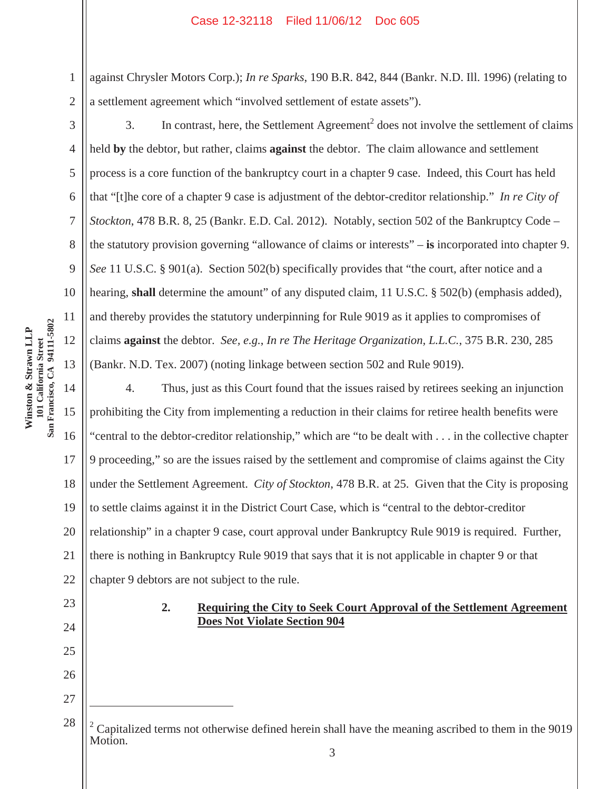against Chrysler Motors Corp.); *In re Sparks*, 190 B.R. 842, 844 (Bankr. N.D. Ill. 1996) (relating to a settlement agreement which "involved settlement of estate assets").

3

1

2

4

5

6

7

8

9

10

11

12

13

15

17

23

24

25

26

27

 $\overline{a}$ 

28

3. In contrast, here, the Settlement Agreement<sup>2</sup> does not involve the settlement of claims held **by** the debtor, but rather, claims **against** the debtor. The claim allowance and settlement process is a core function of the bankruptcy court in a chapter 9 case. Indeed, this Court has held that "[t]he core of a chapter 9 case is adjustment of the debtor-creditor relationship." *In re City of Stockton*, 478 B.R. 8, 25 (Bankr. E.D. Cal. 2012). Notably, section 502 of the Bankruptcy Code – the statutory provision governing "allowance of claims or interests" – **is** incorporated into chapter 9. *See* 11 U.S.C. § 901(a). Section 502(b) specifically provides that "the court, after notice and a hearing, **shall** determine the amount" of any disputed claim, 11 U.S.C. § 502(b) (emphasis added), and thereby provides the statutory underpinning for Rule 9019 as it applies to compromises of claims **against** the debtor. *See, e.g.*, *In re The Heritage Organization, L.L.C.*, 375 B.R. 230, 285 (Bankr. N.D. Tex. 2007) (noting linkage between section 502 and Rule 9019).

14 16 18 19 20 21 22 4. Thus, just as this Court found that the issues raised by retirees seeking an injunction prohibiting the City from implementing a reduction in their claims for retiree health benefits were "central to the debtor-creditor relationship," which are "to be dealt with . . . in the collective chapter 9 proceeding," so are the issues raised by the settlement and compromise of claims against the City under the Settlement Agreement. *City of Stockton*, 478 B.R. at 25. Given that the City is proposing to settle claims against it in the District Court Case, which is "central to the debtor-creditor relationship" in a chapter 9 case, court approval under Bankruptcy Rule 9019 is required. Further, there is nothing in Bankruptcy Rule 9019 that says that it is not applicable in chapter 9 or that chapter 9 debtors are not subject to the rule.

> **2. Requiring the City to Seek Court Approval of the Settlement Agreement Does Not Violate Section 904**

<sup>3</sup>  <sup>2</sup> Capitalized terms not otherwise defined herein shall have the meaning ascribed to them in the 9019 Motion.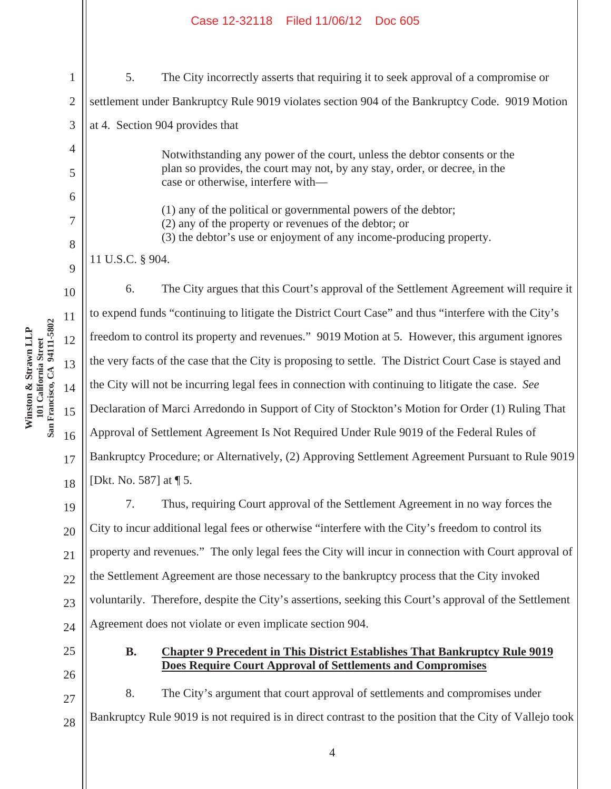5. The City incorrectly asserts that requiring it to seek approval of a compromise or settlement under Bankruptcy Rule 9019 violates section 904 of the Bankruptcy Code. 9019 Motion at 4. Section 904 provides that

> Notwithstanding any power of the court, unless the debtor consents or the plan so provides, the court may not, by any stay, order, or decree, in the case or otherwise, interfere with—

(1) any of the political or governmental powers of the debtor;

(2) any of the property or revenues of the debtor; or

(3) the debtor's use or enjoyment of any income-producing property.

11 U.S.C. § 904.

6. The City argues that this Court's approval of the Settlement Agreement will require it to expend funds "continuing to litigate the District Court Case" and thus "interfere with the City's freedom to control its property and revenues." 9019 Motion at 5. However, this argument ignores the very facts of the case that the City is proposing to settle. The District Court Case is stayed and the City will not be incurring legal fees in connection with continuing to litigate the case. *See*  Declaration of Marci Arredondo in Support of City of Stockton's Motion for Order (1) Ruling That Approval of Settlement Agreement Is Not Required Under Rule 9019 of the Federal Rules of Bankruptcy Procedure; or Alternatively, (2) Approving Settlement Agreement Pursuant to Rule 9019 [Dkt. No. 587] at ¶ 5.

7. Thus, requiring Court approval of the Settlement Agreement in no way forces the City to incur additional legal fees or otherwise "interfere with the City's freedom to control its property and revenues." The only legal fees the City will incur in connection with Court approval of the Settlement Agreement are those necessary to the bankruptcy process that the City invoked voluntarily. Therefore, despite the City's assertions, seeking this Court's approval of the Settlement Agreement does not violate or even implicate section 904.

# **B. Chapter 9 Precedent in This District Establishes That Bankruptcy Rule 9019 Does Require Court Approval of Settlements and Compromises**

8. The City's argument that court approval of settlements and compromises under Bankruptcy Rule 9019 is not required is in direct contrast to the position that the City of Vallejo took

11 101 California Street<br>San Francisco, CA 94111-5802 **San Francisco, CA 94111-5802 Winston & Strawn LLP**  Winston & Strawn LLP 12 **101 California Street**  13 14 15 16

1

2

3

4

5

6

7

8

9

10

17

18

19

20

21

22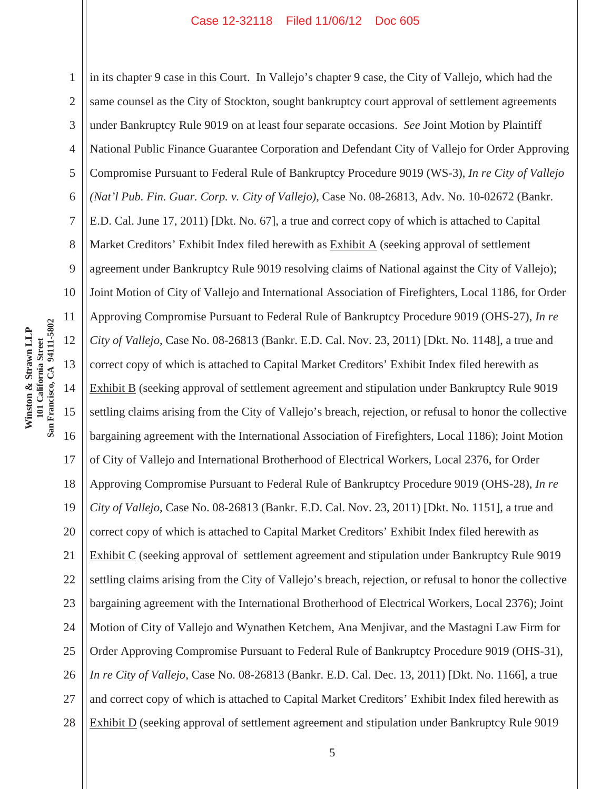1 2 3 4 5 6 7 8 9 10 11 12 13 14 15 16 17 18 19 20 21 22 23 24 25 26 27 28 in its chapter 9 case in this Court. In Vallejo's chapter 9 case, the City of Vallejo, which had the same counsel as the City of Stockton, sought bankruptcy court approval of settlement agreements under Bankruptcy Rule 9019 on at least four separate occasions. *See* Joint Motion by Plaintiff National Public Finance Guarantee Corporation and Defendant City of Vallejo for Order Approving Compromise Pursuant to Federal Rule of Bankruptcy Procedure 9019 (WS-3), *In re City of Vallejo (Nat'l Pub. Fin. Guar. Corp. v. City of Vallejo)*, Case No. 08-26813, Adv. No. 10-02672 (Bankr. E.D. Cal. June 17, 2011) [Dkt. No. 67], a true and correct copy of which is attached to Capital Market Creditors' Exhibit Index filed herewith as Exhibit A (seeking approval of settlement agreement under Bankruptcy Rule 9019 resolving claims of National against the City of Vallejo); Joint Motion of City of Vallejo and International Association of Firefighters, Local 1186, for Order Approving Compromise Pursuant to Federal Rule of Bankruptcy Procedure 9019 (OHS-27), *In re City of Vallejo*, Case No. 08-26813 (Bankr. E.D. Cal. Nov. 23, 2011) [Dkt. No. 1148], a true and correct copy of which is attached to Capital Market Creditors' Exhibit Index filed herewith as Exhibit B (seeking approval of settlement agreement and stipulation under Bankruptcy Rule 9019 settling claims arising from the City of Vallejo's breach, rejection, or refusal to honor the collective bargaining agreement with the International Association of Firefighters, Local 1186); Joint Motion of City of Vallejo and International Brotherhood of Electrical Workers, Local 2376, for Order Approving Compromise Pursuant to Federal Rule of Bankruptcy Procedure 9019 (OHS-28), *In re City of Vallejo*, Case No. 08-26813 (Bankr. E.D. Cal. Nov. 23, 2011) [Dkt. No. 1151], a true and correct copy of which is attached to Capital Market Creditors' Exhibit Index filed herewith as Exhibit C (seeking approval of settlement agreement and stipulation under Bankruptcy Rule 9019 settling claims arising from the City of Vallejo's breach, rejection, or refusal to honor the collective bargaining agreement with the International Brotherhood of Electrical Workers, Local 2376); Joint Motion of City of Vallejo and Wynathen Ketchem, Ana Menjivar, and the Mastagni Law Firm for Order Approving Compromise Pursuant to Federal Rule of Bankruptcy Procedure 9019 (OHS-31), *In re City of Vallejo*, Case No. 08-26813 (Bankr. E.D. Cal. Dec. 13, 2011) [Dkt. No. 1166], a true and correct copy of which is attached to Capital Market Creditors' Exhibit Index filed herewith as Exhibit D (seeking approval of settlement agreement and stipulation under Bankruptcy Rule 9019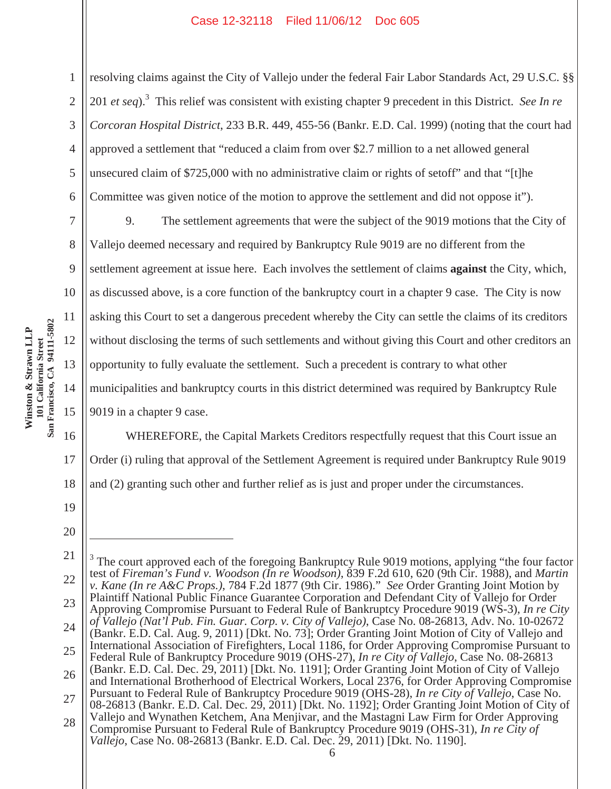resolving claims against the City of Vallejo under the federal Fair Labor Standards Act, 29 U.S.C. §§ 201 *et seq*).3 This relief was consistent with existing chapter 9 precedent in this District. *See In re Corcoran Hospital District*, 233 B.R. 449, 455-56 (Bankr. E.D. Cal. 1999) (noting that the court had approved a settlement that "reduced a claim from over \$2.7 million to a net allowed general unsecured claim of \$725,000 with no administrative claim or rights of setoff" and that "[t]he Committee was given notice of the motion to approve the settlement and did not oppose it").

9. The settlement agreements that were the subject of the 9019 motions that the City of Vallejo deemed necessary and required by Bankruptcy Rule 9019 are no different from the settlement agreement at issue here. Each involves the settlement of claims **against** the City, which, as discussed above, is a core function of the bankruptcy court in a chapter 9 case. The City is now asking this Court to set a dangerous precedent whereby the City can settle the claims of its creditors without disclosing the terms of such settlements and without giving this Court and other creditors an opportunity to fully evaluate the settlement. Such a precedent is contrary to what other municipalities and bankruptcy courts in this district determined was required by Bankruptcy Rule 9019 in a chapter 9 case.

WHEREFORE, the Capital Markets Creditors respectfully request that this Court issue an Order (i) ruling that approval of the Settlement Agreement is required under Bankruptcy Rule 9019 and (2) granting such other and further relief as is just and proper under the circumstances.

19 20

 $\overline{a}$ 

17

18

11 101 California Street<br>San Francisco, CA 94111-5802 **San Francisco, CA 94111-5802 Winston & Strawn LLP**  Winston & Strawn LLP 12 **101 California Street**  13 14 15 16

1

2

3

4

5

6

7

8

9

10

<sup>21</sup> 22 23 24 25 26 27 28 6 3 The court approved each of the foregoing Bankruptcy Rule 9019 motions, applying "the four factor test of *Fireman's Fund v. Woodson (In re Woodson)*, 839 F.2d 610, 620 (9th Cir. 1988), and *Martin v. Kane (In re A&C Props.)*, 784 F.2d 1877 (9th Cir. 1986)." *See* Order Granting Joint Motion by Plaintiff National Public Finance Guarantee Corporation and Defendant City of Vallejo for Order Approving Compromise Pursuant to Federal Rule of Bankruptcy Procedure 9019 (WS-3), *In re City of Vallejo (Nat'l Pub. Fin. Guar. Corp. v. City of Vallejo)*, Case No. 08-26813, Adv. No. 10-02672 (Bankr. E.D. Cal. Aug. 9, 2011) [Dkt. No. 73]; Order Granting Joint Motion of City of Vallejo and International Association of Firefighters, Local 1186, for Order Approving Compromise Pursuant to Federal Rule of Bankruptcy Procedure 9019 (OHS-27), *In re City of Vallejo*, Case No. 08-26813 (Bankr. E.D. Cal. Dec. 29, 2011) [Dkt. No. 1191]; Order Granting Joint Motion of City of Vallejo and International Brotherhood of Electrical Workers, Local 2376, for Order Approving Compromise Pursuant to Federal Rule of Bankruptcy Procedure 9019 (OHS-28), *In re City of Vallejo*, Case No. 08-26813 (Bankr. E.D. Cal. Dec. 29, 2011) [Dkt. No. 1192]; Order Granting Joint Motion of City of Vallejo and Wynathen Ketchem, Ana Menjivar, and the Mastagni Law Firm for Order Approving Compromise Pursuant to Federal Rule of Bankruptcy Procedure 9019 (OHS-31), *In re City of Vallejo*, Case No. 08-26813 (Bankr. E.D. Cal. Dec. 29, 2011) [Dkt. No. 1190].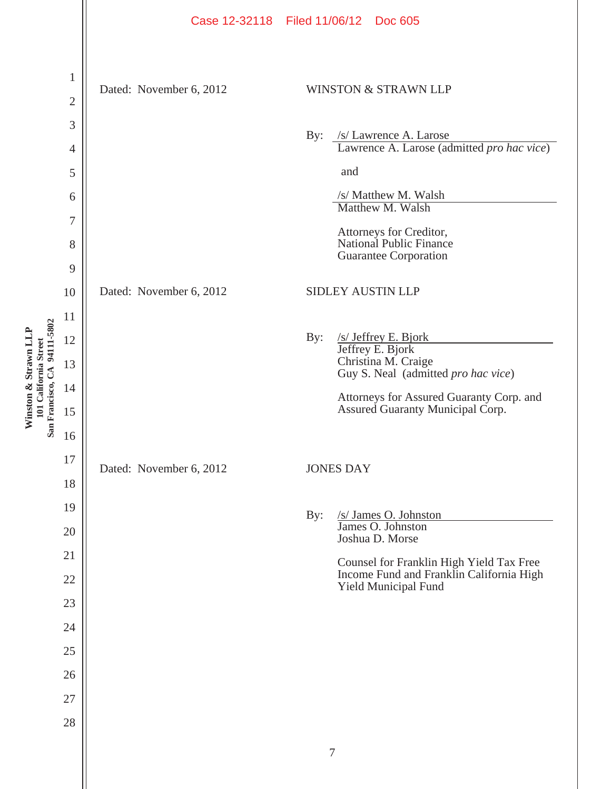|                                                                                           | Case 12-32118 Filed 11/06/12 Doc 605                                                                                                                                                                                                                                                                                  |                                                                                                                     |
|-------------------------------------------------------------------------------------------|-----------------------------------------------------------------------------------------------------------------------------------------------------------------------------------------------------------------------------------------------------------------------------------------------------------------------|---------------------------------------------------------------------------------------------------------------------|
| $\mathbf 1$<br>$\overline{2}$<br>3<br>$\overline{4}$<br>5<br>6<br>7<br>8<br>9<br>10<br>11 | <b>WINSTON &amp; STRAWN LLP</b><br>Dated: November 6, 2012<br>/s/ Lawrence A. Larose<br>By:<br>and<br>/s/ Matthew M. Walsh<br>Matthew M. Walsh<br>Attorneys for Creditor,<br>National Public Finance<br><b>Guarantee Corporation</b><br>SIDLEY AUSTIN LLP<br>Dated: November 6, 2012<br>By:<br>$/s/$ Jeffrey E. Bjork | Lawrence A. Larose (admitted pro hac vice)                                                                          |
| 13<br>14<br>15<br>16                                                                      | Jeffrey E. Bjork<br>Christina M. Craige                                                                                                                                                                                                                                                                               | Guy S. Neal (admitted pro hac vice)<br>Attorneys for Assured Guaranty Corp. and<br>Assured Guaranty Municipal Corp. |
| 18<br>19<br>20<br>21<br>22<br>23<br>24<br>25<br>26<br>27<br>28                            | Dated: November 6, 2012<br><b>JONES DAY</b><br>/s/ James O. Johnston<br>James O. Johnston<br>By:<br>Joshua D. Morse<br>Yield Municipal Fund<br>$\tau$                                                                                                                                                                 | Counsel for Franklin High Yield Tax Free<br>Income Fund and Franklin California High                                |
|                                                                                           |                                                                                                                                                                                                                                                                                                                       | 12<br>17                                                                                                            |